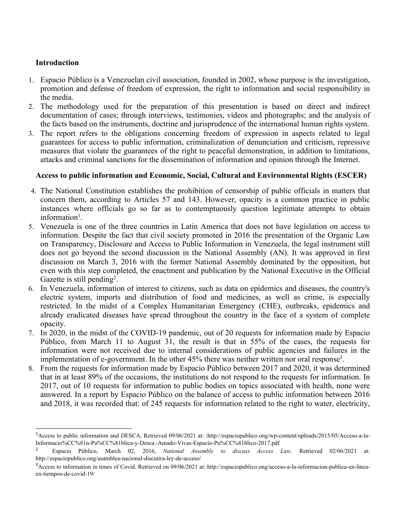### **Introduction**

- 1. Espacio Público is <sup>a</sup> Venezuelan civil association, founded in 2002, whose purpose is the investigation, promotion and defense of freedom of expression, the right to information and social responsibility in the media.
- 2. The methodology used for the preparation of this presentation is based on direct and indirect documentation of cases; through interviews, testimonies, videos and photographs; and the analysis of the facts based on the instruments, doctrine and jurisprudence of the international human rights system.
- 3. The repor<sup>t</sup> refers to the obligations concerning freedom of expression in aspects related to legal guarantees for access to public information, criminalization of denunciation and criticism, repressive measures that violate the guarantees of the right to peaceful demonstration, in addition to limitations, attacks and criminal sanctions for the dissemination of information and opinion through the Internet.

### **Access to public information and Economic, Social, Cultural and Environmental Rights (ESCER)**

- 4. The National Constitution establishes the prohibition of censorship of public officials in matters that concern them, according to Articles 57 and 143. However, opacity is <sup>a</sup> common practice in public instances where officials go so far as to contemptuously question legitimate attempts to obtain information<sup>1</sup>.
- 5. Venezuela is one of the three countries in Latin America that does not have legislation on access to information. Despite the fact that civil society promoted in 2016 the presentation of the Organic Law on Transparency, Disclosure and Access to Public Information in Venezuela, the legal instrument still does not go beyond the second discussion in the National Assembly (AN). It was approved in first discussion on March 3, 2016 with the former National Assembly dominated by the opposition, but even with this step completed, the enactment and publication by the National Executive in the Official Gazette is still pending<sup>2</sup>.
- 6. In Venezuela, information of interest to citizens, such as data on epidemics and diseases, the country's electric system, imports and distribution of food and medicines, as well as crime, is especially restricted. In the midst of <sup>a</sup> Complex Humanitarian Emergency (CHE), outbreaks, epidemics and already eradicated diseases have spread throughout the country in the face of <sup>a</sup> system of complete opacity.
- 7. In 2020, in the midst of the COVID-19 pandemic, out of 20 requests for information made by Espacio Público, from March 11 to August 31, the result is that in 55% of the cases, the requests for information were not received due to internal considerations of public agencies and failures in the implementation of e-government. In the other 45% there was neither written nor oral response<sup>3</sup>.
- 8. From the requests for information made by Espacio Público between 2017 and 2020, it was determined that in at least 89% of the occasions, the institutions do not respond to the requests for information. In 2017, out of 10 requests for information to public bodies on topics associated with health, none were answered. In <sup>a</sup> repor<sup>t</sup> by Espacio Público on the balance of access to public information between 2016 and 2018, it was recorded that: of 245 requests for information related to the right to water, electricity,

<sup>1</sup> Access to public information and DESCA. Retrieved 09/06/2021 at: :http://espaciopublico.ong/wp-content/uploads/2015/05/Acceso-a-la-Informacio%CC%81n-Pu%CC%81blica-y-Desca.-Amado-Vivas-Espacio-Pu%CC%81blico-2017.pdf

<sup>2</sup> Espacio Público, March 02, 2016, *National Assembly to discuss Access Law*. Retrieved 02/06/2021 at: http://espaciopublico.ong/asamblea-nacional-discutira-ley-de-acceso/

<sup>&</sup>lt;sup>3</sup> Access to information in times of Covid. Retrieved on 09/06/2021 at: http://espaciopublico.ong/acceso-a-la-informacion-publica-en-lineaen-tiempos-de-covid-19/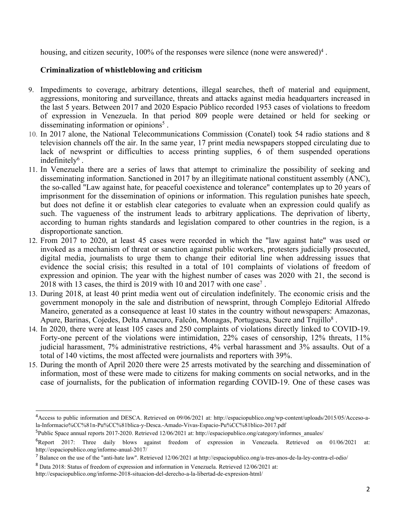housing, and citizen security, 100% of the responses were silence (none were answered)<sup>4</sup>.

# **Criminalization of whistleblowing and criticism**

- 9. Impediments to coverage, arbitrary detentions, illegal searches, theft of material and equipment, aggressions, monitoring and surveillance, threats and attacks against media headquarters increased in the last 5 years. Between 2017 and 2020 Espacio Público recorded 1953 cases of violations to freedom of expression in Venezuela. In that period 809 people were detained or held for seeking or disseminating information or opinions<sup>5</sup>.
- 10. In 2017 alone, the National Telecommunications Commission (Conatel) took 54 radio stations and 8 television channels off the air. In the same year, 17 print media newspapers stopped circulating due to lack of newsprint or difficulties to access printing supplies, 6 of them suspended operations indefinitely $^6$  .
- 11. In Venezuela there are <sup>a</sup> series of laws that attempt to criminalize the possibility of seeking and disseminating information. Sanctioned in 2017 by an illegitimate national constituent assembly (ANC), the so-called "Law against hate, for peaceful coexistence and tolerance" contemplates up to 20 years of imprisonment for the dissemination of opinions or information. This regulation punishes hate speech, but does not define it or establish clear categories to evaluate when an expression could qualify as such. The vagueness of the instrument leads to arbitrary applications. The deprivation of liberty, according to human rights standards and legislation compared to other countries in the region, is <sup>a</sup> disproportionate sanction.
- 12. From 2017 to 2020, at least 45 cases were recorded in which the "law against hate" was used or invoked as <sup>a</sup> mechanism of threat or sanction against public workers, protesters judicially prosecuted, digital media, journalists to urge them to change their editorial line when addressing issues that evidence the social crisis; this resulted in <sup>a</sup> total of 101 complaints of violations of freedom of expression and opinion. The year with the highest number of cases was 2020 with 21, the second is 2018 with 13 cases, the third is 2019 with 10 and 2017 with one case<sup>7</sup>.
- 13. During 2018, at least 40 print media went out of circulation indefinitely. The economic crisis and the governmen<sup>t</sup> monopoly in the sale and distribution of newsprint, through Complejo Editorial Alfredo Maneiro, generated as <sup>a</sup> consequence at least 10 states in the country without newspapers: Amazonas, Apure, Barinas, Cojedes, Delta Amacuro, Falcón, Monagas, Portuguesa, Sucre and Trujillo $^8$  .
- 14. In 2020, there were at least 105 cases and 250 complaints of violations directly linked to COVID-19. Forty-one percen<sup>t</sup> of the violations were intimidation, 22% cases of censorship, 12% threats, 11% judicial harassment, 7% administrative restrictions, 4% verbal harassment and 3% assaults. Out of <sup>a</sup> total of 140 victims, the most affected were journalists and reporters with 39%.
- 15. During the month of April 2020 there were 25 arrests motivated by the searching and dissemination of information, most of these were made to citizens for making comments on social networks, and in the case of journalists, for the publication of information regarding COVID-19. One of these cases was

<sup>4</sup> Access to public information and DESCA. Retrieved on 09/06/2021 at: http://espaciopublico.ong/wp-content/uploads/2015/05/Acceso-ala-Informacio%CC%81n-Pu%CC%81blica-y-Desca.-Amado-Vivas-Espacio-Pu%CC%81blico-2017.pdf

<sup>&</sup>lt;sup>5</sup>Public Space annual reports 2017-2020. Retrieved 12/06/2021 at: http://espaciopublico.ong/category/informes\_anuales/

<sup>6</sup> Report 2017: Three daily blows against freedom of expression in Venezuela. Retrieved on 01/06/2021 at: http://espaciopublico.ong/informe-anual-2017/

<sup>&</sup>lt;sup>7</sup> Balance on the use of the "anti-hate law". Retrieved 12/06/2021 at http://espaciopublico.ong/a-tres-anos-de-la-ley-contra-el-odio/

<sup>8</sup> Data 2018: Status of freedom of expression and information in Venezuela. Retrieved 12/06/2021 at:

http://espaciopublico.ong/informe-2018-situacion-del-derecho-a-la-libertad-de-expresion-html/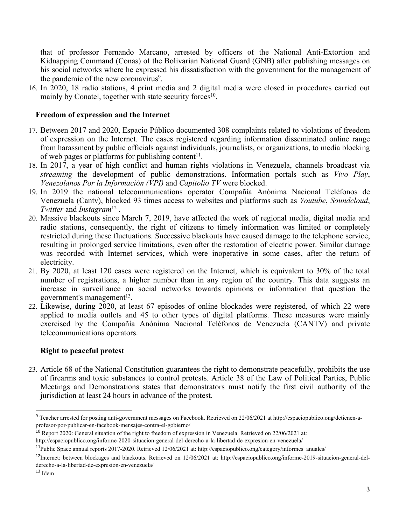that of professor Fernando Marcano, arrested by officers of the National Anti-Extortion and Kidnapping Command (Conas) of the Bolivarian National Guard (GNB) after publishing messages on his social networks where he expressed his dissatisfaction with the governmen<sup>t</sup> for the managemen<sup>t</sup> of the pandemic of the new coronavirus<sup>9</sup>.

16. In 2020, 18 radio stations, 4 print media and 2 digital media were closed in procedures carried out mainly by Conatel, together with state security forces<sup>10</sup>.

### **Freedom of expression and the Internet**

- 17. Between 2017 and 2020, Espacio Público documented 308 complaints related to violations of freedom of expression on the Internet. The cases registered regarding information disseminated online range from harassment by public officials against individuals, journalists, or organizations, to media blocking of web pages or platforms for publishing content<sup>11</sup>.
- 18. In 2017, <sup>a</sup> year of high conflict and human rights violations in Venezuela, channels broadcast via *streaming* the development of public demonstrations. Information portals such as *Vivo Play*, *Venezolanos Por la Información (VPI)* and *Capitolio TV* were blocked.
- 19. In 2019 the national telecommunications operator Compañía Anónima Nacional Teléfonos de Venezuela (Cantv), blocked 93 times access to websites and platforms such as *Youtube*, *Soundcloud*, *Twitter* and *Instagram*<sup>12</sup> .
- 20. Massive blackouts since March 7, 2019, have affected the work of regional media, digital media and radio stations, consequently, the right of citizens to timely information was limited or completely restricted during these fluctuations. Successive blackouts have caused damage to the telephone service, resulting in prolonged service limitations, even after the restoration of electric power. Similar damage was recorded with Internet services, which were inoperative in some cases, after the return of electricity.
- 21. By 2020, at least 120 cases were registered on the Internet, which is equivalent to 30% of the total number of registrations, <sup>a</sup> higher number than in any region of the country. This data suggests an increase in surveillance on social networks towards opinions or information that question the government's managemen<sup>t</sup> 13 .
- 22. Likewise, during 2020, at least 67 episodes of online blockades were registered, of which 22 were applied to media outlets and 45 to other types of digital platforms. These measures were mainly exercised by the Compañía Anónima Nacional Teléfonos de Venezuela (CANTV) and private telecommunications operators.

#### **Right to peaceful protest**

23. Article 68 of the National Constitution guarantees the right to demonstrate peacefully, prohibits the use of firearms and toxic substances to control protests. Article 38 of the Law of Political Parties, Public Meetings and Demonstrations states that demonstrators must notify the first civil authority of the jurisdiction at least 24 hours in advance of the protest.

<sup>&</sup>lt;sup>9</sup> Teacher arrested for posting anti-government messages on Facebook. Retrieved on 22/06/2021 at http://espaciopublico.ong/detienen-aprofesor-por-publicar-en-facebook-mensajes-contra-el-gobierno/

 $^{10}$  Report 2020: General situation of the right to freedom of expression in Venezuela. Retrieved on 22/06/2021 at: http://espaciopublico.ong/informe-2020-situacion-general-del-derecho-a-la-libertad-de-expresion-en-venezuela/

<sup>&</sup>lt;sup>11</sup>Public Space annual reports 2017-2020. Retrieved 12/06/2021 at: http://espaciopublico.ong/category/informes\_anuales/

 $^{12}$ Internet: between blockages and blackouts. Retrieved on  $12/06/2021$  at: http://espaciopublico.ong/informe-2019-situacion-general-delderecho-a-la-libertad-de-expresion-en-venezuela/

<sup>&</sup>lt;sup>13</sup> Idem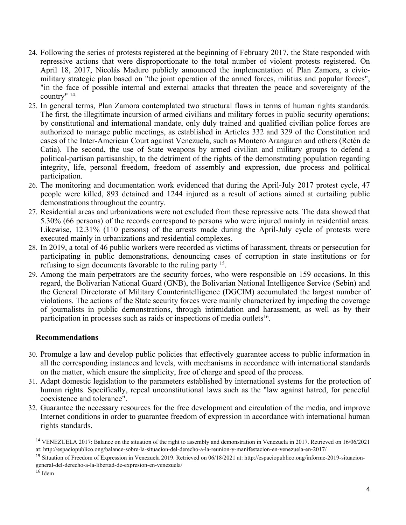- 24. Following the series of protests registered at the beginning of February 2017, the State responded with repressive actions that were disproportionate to the total number of violent protests registered. On April 18, 2017, Nicolás Maduro publicly announced the implementation of Plan Zamora, <sup>a</sup> civicmilitary strategic plan based on "the joint operation of the armed forces, militias and popular forces", "in the face of possible internal and external attacks that threaten the peace and sovereignty of the country" 14.
- 25. In general terms, Plan Zamora contemplated two structural flaws in terms of human rights standards. The first, the illegitimate incursion of armed civilians and military forces in public security operations; by constitutional and international mandate, only duly trained and qualified civilian police forces are authorized to manage public meetings, as established in Articles 332 and 329 of the Constitution and cases of the Inter-American Court against Venezuela, such as Montero Aranguren and others (Retén de Catia). The second, the use of State weapons by armed civilian and military groups to defend <sup>a</sup> political-partisan partisanship, to the detriment of the rights of the demonstrating population regarding integrity, life, personal freedom, freedom of assembly and expression, due process and political participation.
- 26. The monitoring and documentation work evidenced that during the April-July 2017 protest cycle, 47 people were killed, 893 detained and 1244 injured as <sup>a</sup> result of actions aimed at curtailing public demonstrations throughout the country.
- 27. Residential areas and urbanizations were not excluded from these repressive acts. The data showed that 5.30% (66 persons) of the records correspond to persons who were injured mainly in residential areas. Likewise, 12.31% (110 persons) of the arrests made during the April-July cycle of protests were executed mainly in urbanizations and residential complexes.
- 28. In 2019, <sup>a</sup> total of 46 public workers were recorded as victims of harassment, threats or persecution for participating in public demonstrations, denouncing cases of corruption in state institutions or for refusing to sign documents favorable to the ruling party <sup>15</sup>.
- 29. Among the main perpetrators are the security forces, who were responsible on 159 occasions. In this regard, the Bolivarian National Guard (GNB), the Bolivarian National Intelligence Service (Sebin) and the General Directorate of Military Counterintelligence (DGCIM) accumulated the largest number of violations. The actions of the State security forces were mainly characterized by impeding the coverage of journalists in public demonstrations, through intimidation and harassment, as well as by their participation in processes such as raids or inspections of media outlets<sup>16</sup>.

## **Recommendations**

- 30. Promulge <sup>a</sup> law and develop public policies that effectively guarantee access to public information in all the corresponding instances and levels, with mechanisms in accordance with international standards on the matter, which ensure the simplicity, free of charge and speed of the process.
- 31. Adapt domestic legislation to the parameters established by international systems for the protection of human rights. Specifically, repeal unconstitutional laws such as the "law against hatred, for peaceful coexistence and tolerance".
- 32. Guarantee the necessary resources for the free development and circulation of the media, and improve Internet conditions in order to guarantee freedom of expression in accordance with international human rights standards.

<sup>&</sup>lt;sup>14</sup> VENEZUELA 2017: Balance on the situation of the right to assembly and demonstration in Venezuela in 2017. Retrieved on 16/06/2021 at: http://espaciopublico.ong/balance-sobre-la-situacion-del-derecho-a-la-reunion-y-manifestacion-en-venezuela-en-2017/

<sup>&</sup>lt;sup>15</sup> Situation of Freedom of Expression in Venezuela 2019. Retrieved on 06/18/2021 at: http://espaciopublico.ong/informe-2019-situaciongeneral-del-derecho-a-la-libertad-de-expresion-en-venezuela/

<sup>&</sup>lt;sup>16</sup> Idem